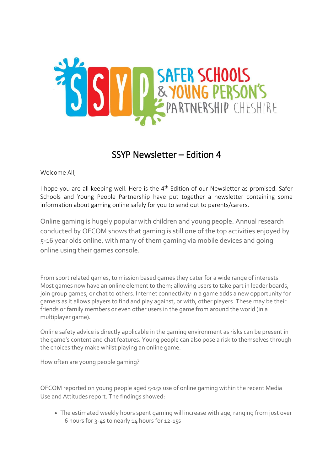

## SSYP Newsletter – Edition 4

Welcome All,

I hope you are all keeping well. Here is the  $4<sup>th</sup>$  Edition of our Newsletter as promised. Safer Schools and Young People Partnership have put together a newsletter containing some information about gaming online safely for you to send out to parents/carers.

Online gaming is hugely popular with children and young people. Annual research conducted by OFCOM shows that gaming is still one of the top activities enjoyed by 5-16 year olds online, with many of them gaming via mobile devices and going online using their games console.

From sport related games, to mission based games they cater for a wide range of interests. Most games now have an online element to them; allowing users to take part in leader boards, join group games, or chat to others. Internet connectivity in a game adds a new opportunity for gamers as it allows players to find and play against, or with, other players. These may be their friends or family members or even other users in the game from around the world (in a multiplayer game).

Online safety advice is directly applicable in the gaming environment as risks can be present in the game's content and chat features. Young people can also pose a risk to themselves through the choices they make whilst playing an online game.

How often are young people gaming?

OFCOM reported on young people aged 5-15s use of online gaming within the recent Media Use and Attitudes report. The findings showed:

 The estimated weekly hours spent gaming will increase with age, ranging from just over 6 hours for 3-4s to nearly 14 hours for 12-15s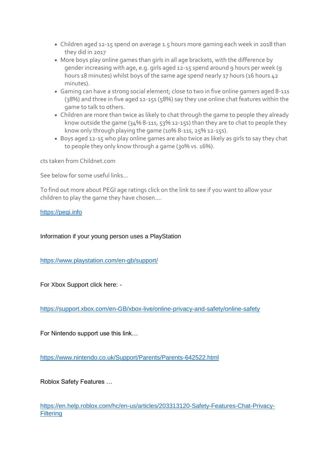- Children aged 12-15 spend on average 1.5 hours more gaming each week in 2018 than they did in 2017
- More boys play online games than girls in all age brackets, with the difference by gender increasing with age, e.g. girls aged 12-15 spend around 9 hours per week (9 hours 18 minutes) whilst boys of the same age spend nearly 17 hours (16 hours 42 minutes).
- Gaming can have a strong social element; close to two in five online gamers aged 8-11s (38%) and three in five aged 12-15s (58%) say they use online chat features within the game to talk to others.
- Children are more than twice as likely to chat through the game to people they already know outside the game (34% 8-11s, 53% 12-15s) than they are to chat to people they know only through playing the game (10% 8-11s, 25% 12-15s).
- Boys aged 12-15 who play online games are also twice as likely as girls to say they chat to people they only know through a game (30% vs. 16%).

cts taken from Childnet.com

See below for some useful links…

To find out more about PEGI age ratings click on the link to see if you want to allow your children to play the game they have chosen….

[https://pegi.info](https://pegi.info/)

Information if your young person uses a PlayStation

<https://www.playstation.com/en-gb/support/>

For Xbox Support click here: -

<https://support.xbox.com/en-GB/xbox-live/online-privacy-and-safety/online-safety>

For Nintendo support use this link…

<https://www.nintendo.co.uk/Support/Parents/Parents-642522.html>

Roblox Safety Features …

[https://en.help.roblox.com/hc/en-us/articles/203313120-Safety-Features-Chat-Privacy-](https://en.help.roblox.com/hc/en-us/articles/203313120-Safety-Features-Chat-Privacy-Filtering)**[Filtering](https://en.help.roblox.com/hc/en-us/articles/203313120-Safety-Features-Chat-Privacy-Filtering)**